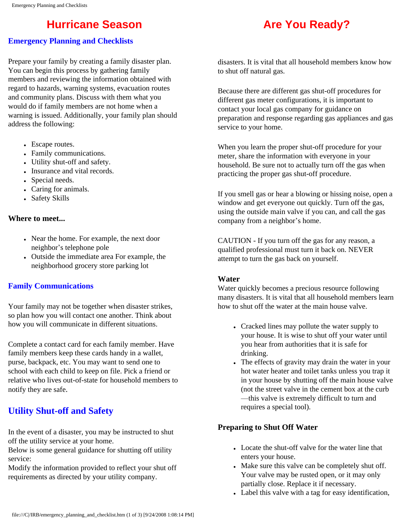# **Hurricane Season Are You Ready?**

#### **Emergency Planning and Checklists**

Prepare your family by creating a family disaster plan. You can begin this process by gathering family members and reviewing the information obtained with regard to hazards, warning systems, evacuation routes and community plans. Discuss with them what you would do if family members are not home when a warning is issued. Additionally, your family plan should address the following:

- Escape routes.
- Family communications.
- Utility shut-off and safety.
- Insurance and vital records.
- Special needs.
- Caring for animals.
- Safety Skills

#### **Where to meet...**

- Near the home. For example, the next door neighbor's telephone pole
- Outside the immediate area For example, the neighborhood grocery store parking lot

#### **Family Communications**

Your family may not be together when disaster strikes, so plan how you will contact one another. Think about how you will communicate in different situations.

Complete a contact card for each family member. Have family members keep these cards handy in a wallet, purse, backpack, etc. You may want to send one to school with each child to keep on file. Pick a friend or relative who lives out-of-state for household members to notify they are safe.

## **Utility Shut-off and Safety**

In the event of a disaster, you may be instructed to shut off the utility service at your home.

Below is some general guidance for shutting off utility service:

Modify the information provided to reflect your shut off requirements as directed by your utility company.

disasters. It is vital that all household members know how to shut off natural gas.

Because there are different gas shut-off procedures for different gas meter configurations, it is important to contact your local gas company for guidance on preparation and response regarding gas appliances and gas service to your home.

When you learn the proper shut-off procedure for your meter, share the information with everyone in your household. Be sure not to actually turn off the gas when practicing the proper gas shut-off procedure.

If you smell gas or hear a blowing or hissing noise, open a window and get everyone out quickly. Turn off the gas, using the outside main valve if you can, and call the gas company from a neighbor's home.

CAUTION - If you turn off the gas for any reason, a qualified professional must turn it back on. NEVER attempt to turn the gas back on yourself.

#### **Water**

Water quickly becomes a precious resource following many disasters. It is vital that all household members learn how to shut off the water at the main house valve.

- Cracked lines may pollute the water supply to your house. It is wise to shut off your water until you hear from authorities that it is safe for drinking.
- The effects of gravity may drain the water in your hot water heater and toilet tanks unless you trap it in your house by shutting off the main house valve (not the street valve in the cement box at the curb —this valve is extremely difficult to turn and requires a special tool).

#### **Preparing to Shut Off Water**

- Locate the shut-off valve for the water line that enters your house.
- Make sure this valve can be completely shut off. Your valve may be rusted open, or it may only partially close. Replace it if necessary.
- Label this valve with a tag for easy identification,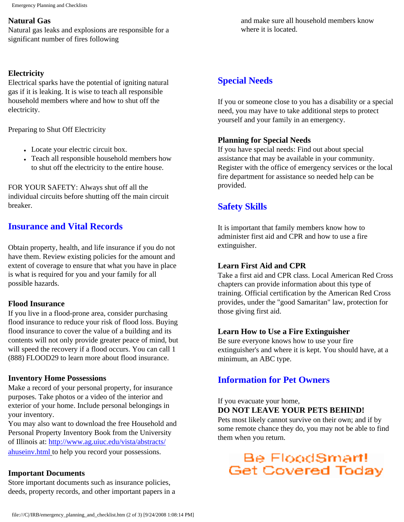#### **Natural Gas**

Natural gas leaks and explosions are responsible for a significant number of fires following

#### **Electricity**

Electrical sparks have the potential of igniting natural gas if it is leaking. It is wise to teach all responsible household members where and how to shut off the electricity.

Preparing to Shut Off Electricity

- Locate your electric circuit box.
- Teach all responsible household members how to shut off the electricity to the entire house.

FOR YOUR SAFETY: Always shut off all the individual circuits before shutting off the main circuit breaker.

## **Insurance and Vital Records**

Obtain property, health, and life insurance if you do not have them. Review existing policies for the amount and extent of coverage to ensure that what you have in place is what is required for you and your family for all possible hazards.

#### **Flood Insurance**

If you live in a flood-prone area, consider purchasing flood insurance to reduce your risk of flood loss. Buying flood insurance to cover the value of a building and its contents will not only provide greater peace of mind, but will speed the recovery if a flood occurs. You can call 1 (888) FLOOD29 to learn more about flood insurance.

#### **Inventory Home Possessions**

Make a record of your personal property, for insurance purposes. Take photos or a video of the interior and exterior of your home. Include personal belongings in your inventory.

You may also want to download the free Household and Personal Property Inventory Book from the University of Illinois at: [http://www.ag.uiuc.edu/vista/abstracts/](http://www.aces.uiuc.edu/vista/abstracts/ahouseinv.html) [ahuseinv.html](http://www.aces.uiuc.edu/vista/abstracts/ahouseinv.html) to help you record your possessions.

#### **Important Documents**

Store important documents such as insurance policies, deeds, property records, and other important papers in a and make sure all household members know where it is located.

## **Special Needs**

If you or someone close to you has a disability or a special need, you may have to take additional steps to protect yourself and your family in an emergency.

#### **Planning for Special Needs**

If you have special needs: Find out about special assistance that may be available in your community. Register with the office of emergency services or the local fire department for assistance so needed help can be provided.

## **Safety Skills**

It is important that family members know how to administer first aid and CPR and how to use a fire extinguisher.

### **Learn First Aid and CPR**

Take a first aid and CPR class. Local American Red Cross chapters can provide information about this type of training. Official certification by the American Red Cross provides, under the "good Samaritan" law, protection for those giving first aid.

### **Learn How to Use a Fire Extinguisher**

Be sure everyone knows how to use your fire extinguisher's and where it is kept. You should have, at a minimum, an ABC type.

## **Information for Pet Owners**

If you evacuate your home,

#### **DO NOT LEAVE YOUR PETS BEHIND!**

Pets most likely cannot survive on their own; and if by some remote chance they do, you may not be able to find them when you return.

# Be FloodSmart! **Get Covered Today**